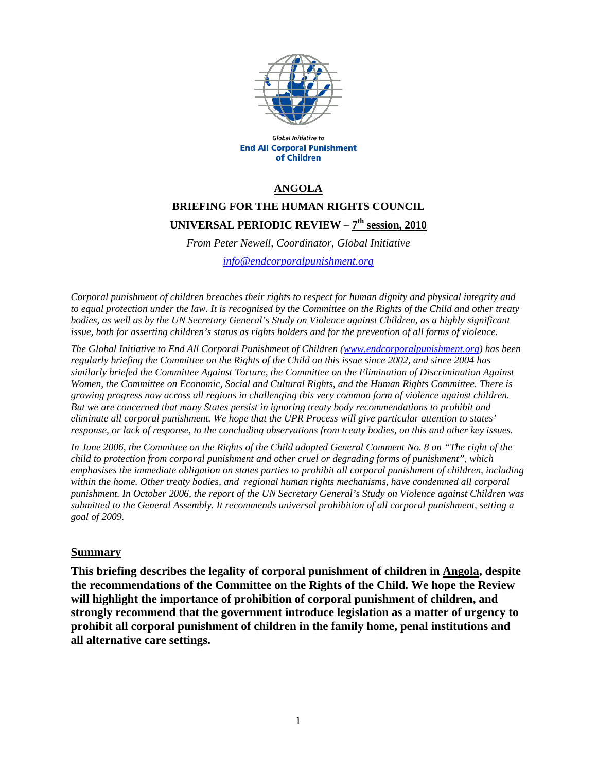

Global Initiative to **End All Corporal Punishment** of Children

### **ANGOLA**

# **BRIEFING FOR THE HUMAN RIGHTS COUNCIL UNIVERSAL PERIODIC REVIEW – 7th session, 2010**

*From Peter Newell, Coordinator, Global Initiative info@endcorporalpunishment.org*

*Corporal punishment of children breaches their rights to respect for human dignity and physical integrity and to equal protection under the law. It is recognised by the Committee on the Rights of the Child and other treaty bodies, as well as by the UN Secretary General's Study on Violence against Children, as a highly significant issue, both for asserting children's status as rights holders and for the prevention of all forms of violence.* 

*The Global Initiative to End All Corporal Punishment of Children (www.endcorporalpunishment.org) has been regularly briefing the Committee on the Rights of the Child on this issue since 2002, and since 2004 has similarly briefed the Committee Against Torture, the Committee on the Elimination of Discrimination Against Women, the Committee on Economic, Social and Cultural Rights, and the Human Rights Committee. There is growing progress now across all regions in challenging this very common form of violence against children. But we are concerned that many States persist in ignoring treaty body recommendations to prohibit and eliminate all corporal punishment. We hope that the UPR Process will give particular attention to states' response, or lack of response, to the concluding observations from treaty bodies, on this and other key issues.* 

*In June 2006, the Committee on the Rights of the Child adopted General Comment No. 8 on "The right of the child to protection from corporal punishment and other cruel or degrading forms of punishment", which emphasises the immediate obligation on states parties to prohibit all corporal punishment of children, including*  within the home. Other treaty bodies, and regional human rights mechanisms, have condemned all corporal *punishment. In October 2006, the report of the UN Secretary General's Study on Violence against Children was submitted to the General Assembly. It recommends universal prohibition of all corporal punishment, setting a goal of 2009.*

#### **Summary**

**This briefing describes the legality of corporal punishment of children in Angola, despite the recommendations of the Committee on the Rights of the Child. We hope the Review will highlight the importance of prohibition of corporal punishment of children, and strongly recommend that the government introduce legislation as a matter of urgency to prohibit all corporal punishment of children in the family home, penal institutions and all alternative care settings.**